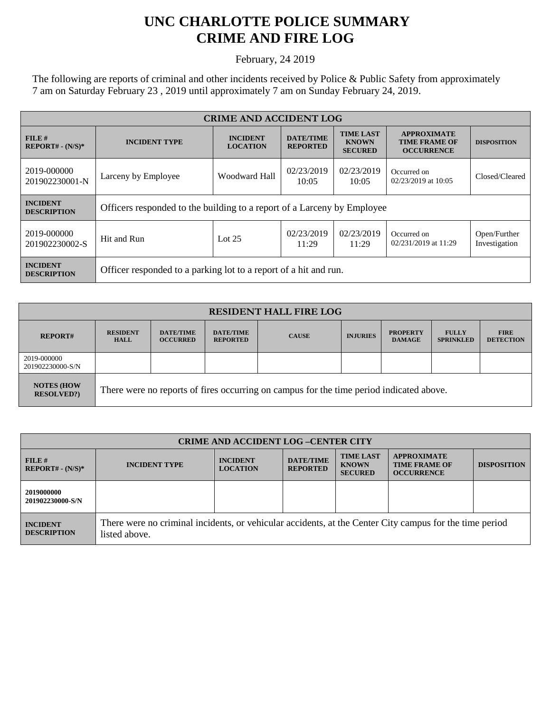## **UNC CHARLOTTE POLICE SUMMARY CRIME AND FIRE LOG**

February, 24 2019

The following are reports of criminal and other incidents received by Police & Public Safety from approximately 7 am on Saturday February 23 , 2019 until approximately 7 am on Sunday February 24, 2019.

| <b>CRIME AND ACCIDENT LOG</b>         |                                                                         |                                    |                                     |                                                    |                                                                 |                               |  |
|---------------------------------------|-------------------------------------------------------------------------|------------------------------------|-------------------------------------|----------------------------------------------------|-----------------------------------------------------------------|-------------------------------|--|
| FILE H<br>$REPORT# - (N/S)*$          | <b>INCIDENT TYPE</b>                                                    | <b>INCIDENT</b><br><b>LOCATION</b> | <b>DATE/TIME</b><br><b>REPORTED</b> | <b>TIME LAST</b><br><b>KNOWN</b><br><b>SECURED</b> | <b>APPROXIMATE</b><br><b>TIME FRAME OF</b><br><b>OCCURRENCE</b> | <b>DISPOSITION</b>            |  |
| 2019-000000<br>201902230001-N         | Larceny by Employee                                                     | Woodward Hall                      | 02/23/2019<br>10:05                 | 02/23/2019<br>10:05                                | Occurred on<br>02/23/2019 at 10:05                              | Closed/Cleared                |  |
| <b>INCIDENT</b><br><b>DESCRIPTION</b> | Officers responded to the building to a report of a Larceny by Employee |                                    |                                     |                                                    |                                                                 |                               |  |
| 2019-000000<br>201902230002-S         | Hit and Run                                                             | Lot $25$                           | 02/23/2019<br>11:29                 | 02/23/2019<br>11:29                                | Occurred on<br>02/231/2019 at 11:29                             | Open/Further<br>Investigation |  |
| <b>INCIDENT</b><br><b>DESCRIPTION</b> | Officer responded to a parking lot to a report of a hit and run.        |                                    |                                     |                                                    |                                                                 |                               |  |

| <b>RESIDENT HALL FIRE LOG</b>         |                                                                                         |                                     |                                     |              |                 |                                  |                                  |                                 |
|---------------------------------------|-----------------------------------------------------------------------------------------|-------------------------------------|-------------------------------------|--------------|-----------------|----------------------------------|----------------------------------|---------------------------------|
| <b>REPORT#</b>                        | <b>RESIDENT</b><br><b>HALL</b>                                                          | <b>DATE/TIME</b><br><b>OCCURRED</b> | <b>DATE/TIME</b><br><b>REPORTED</b> | <b>CAUSE</b> | <b>INJURIES</b> | <b>PROPERTY</b><br><b>DAMAGE</b> | <b>FULLY</b><br><b>SPRINKLED</b> | <b>FIRE</b><br><b>DETECTION</b> |
| 2019-000000<br>201902230000-S/N       |                                                                                         |                                     |                                     |              |                 |                                  |                                  |                                 |
| <b>NOTES (HOW</b><br><b>RESOLVED?</b> | There were no reports of fires occurring on campus for the time period indicated above. |                                     |                                     |              |                 |                                  |                                  |                                 |

| <b>CRIME AND ACCIDENT LOG-CENTER CITY</b> |                                                                                                                          |                                    |                                     |                                                    |                                                                 |                    |
|-------------------------------------------|--------------------------------------------------------------------------------------------------------------------------|------------------------------------|-------------------------------------|----------------------------------------------------|-----------------------------------------------------------------|--------------------|
| FILE H<br>$REPORT# - (N/S)*$              | <b>INCIDENT TYPE</b>                                                                                                     | <b>INCIDENT</b><br><b>LOCATION</b> | <b>DATE/TIME</b><br><b>REPORTED</b> | <b>TIME LAST</b><br><b>KNOWN</b><br><b>SECURED</b> | <b>APPROXIMATE</b><br><b>TIME FRAME OF</b><br><b>OCCURRENCE</b> | <b>DISPOSITION</b> |
| 2019000000<br>201902230000-S/N            |                                                                                                                          |                                    |                                     |                                                    |                                                                 |                    |
| <b>INCIDENT</b><br><b>DESCRIPTION</b>     | There were no criminal incidents, or vehicular accidents, at the Center City campus for the time period<br>listed above. |                                    |                                     |                                                    |                                                                 |                    |